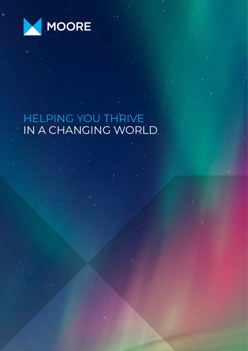

# HELPING YOU THRIVE IN A CHANGING WORLD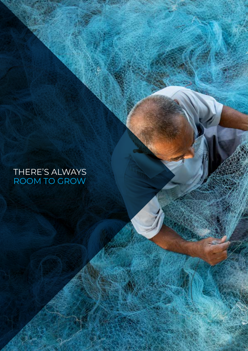# THERE'S ALWAYS ROOM TO GROW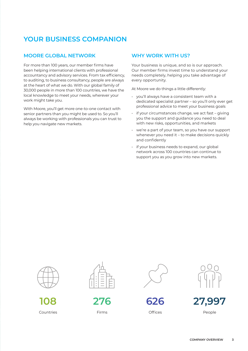# **YOUR BUSINESS COMPANION**

#### **MOORE GLOBAL NETWORK**

For more than 100 years, our member firms have been helping international clients with professional accountancy and advisory services. From tax efficiency, to auditing, to business consultancy, people are always at the heart of what we do. With our global family of 30,000 people in more than 100 countries, we have the local knowledge to meet your needs, wherever your work might take you.

With Moore, you'll get more one-to-one contact with senior partners than you might be used to. So you'll always be working with professionals you can trust to help you navigate new markets.

#### **WHY WORK WITH US?**

Your business is unique, and so is our approach. Our member firms invest time to understand your needs completely, helping you take advantage of every opportunity.

At Moore we do things a little differently:

- you'll always have a consistent team with a dedicated specialist partner – so you'll only ever get professional advice to meet your business goals
- if your circumstances change, we act fast giving you the support and guidance you need to deal with new risks, opportunities, and markets
- we're a part of your team, so you have our support whenever you need it – to make decisions quickly and confidently
- if your business needs to expand, our global network across 100 countries can continue to support you as you grow into new markets.



**108**  Countries



**276** Firms



**626 Offices** 



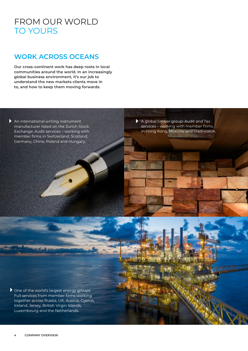# FROM OUR WORLD TO YOURS

## **WORK ACROSS OCEANS**

**Our cross-continent work has deep roots in local communities around the world. In an increasingly global business environment, it's our job to understand the new markets clients move in to, and how to keep them moving forwards.**

An international writing instrument manufacturer listed on the Zurich Stock Exchange: Audit services – working with member firms in Switzerland, Scotland, Germany, China, Poland and Hungary.

A global timber group: Audit and Tax services – working with member firms in Hong Kong, Moscow and Vladivostok.

▶ One of the world's largest energy groups: Full services from member firms working together across Russia, UK, Austria, Cyprus, Ireland, Jersey, British Virgin Islands, Luxembourg and the Netherlands.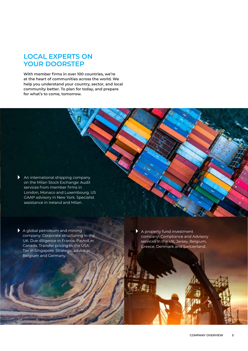### **LOCAL EXPERTS ON YOUR DOORSTEP**

**With member firms in over 100 countries, we're at the heart of communities across the world. We help you understand your country, sector, and local community better. To plan for today, and prepare for what's to come, tomorrow.**

An international shipping company on the Milan Stock Exchange: Audit services from member firms in London, Monaco and Luxembourg. US GAAP advisory in New York. Specialist assistance in Ireland and Milan.

A global petroleum and mining company: Corporate structuring in the UK. Due diligence in France. Payroll in Canada. Transfer pricing in the USA. Tax in Singapore. Strategic advice in Belgium and Germany.

A property fund investment company: Compliance and Advisory services in the UK, Jersey, Belgium, Greece, Denmark and Switzerland.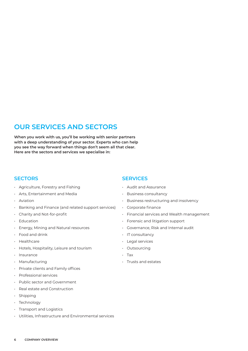## **OUR SERVICES AND SECTORS**

**When you work with us, you'll be working with senior partners with a deep understanding of your sector. Experts who can help you see the way forward when things don't seem all that clear. Here are the sectors and services we specialise in:**

#### **SECTORS**

- Agriculture, Forestry and Fishing
- Arts, Entertainment and Media
- Aviation
- Banking and Finance (and related support services)
- Charity and Not-for-profit
- Education
- Energy, Mining and Natural resources
- Food and drink
- Healthcare
- Hotels, Hospitality, Leisure and tourism
- Insurance
- Manufacturing
- Private clients and Family offices
- Professional services
- Public sector and Government
- Real estate and Construction
- Shipping
- Technology
- Transport and Logistics
- Utilities, Infrastructure and Environmental services

#### **SERVICES**

- Audit and Assurance
- Business consultancy
- Business restructuring and insolvency
- Corporate finance
- Financial services and Wealth management
- Forensic and litigation support
- Governance, Risk and Internal audit
- IT consultancy
- Legal services
- Outsourcing
- Tax
- Trusts and estates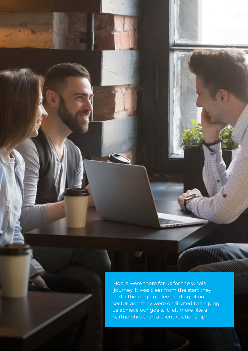